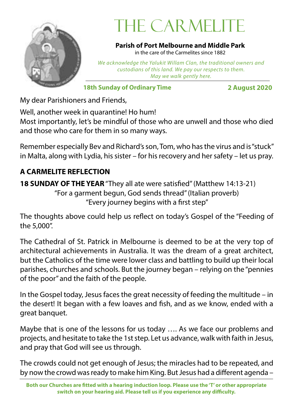

# THE CARMELIT

**Parish of Port Melbourne and Middle Park** in the care of the Carmelites since 1882

*We acknowledge the Yalukit Willam Clan, the traditional owners and custodians of this land. We pay our respects to them. May we walk gently here.*

**18th Sunday of Ordinary Time**

**2 August 2020**

My dear Parishioners and Friends,

Well, another week in quarantine! Ho hum! Most importantly, let's be mindful of those who are unwell and those who died and those who care for them in so many ways.

Remember especially Bev and Richard's son, Tom, who has the virus and is "stuck" in Malta, along with Lydia, his sister – for his recovery and her safety – let us pray.

### **A CARMELITE REFLECTION**

**18 SUNDAY OF THE YEAR** "They all ate were satisfied" (Matthew 14:13-21) "For a garment begun, God sends thread" (Italian proverb) "Every journey begins with a first step"

The thoughts above could help us reflect on today's Gospel of the "Feeding of the 5,000".

The Cathedral of St. Patrick in Melbourne is deemed to be at the very top of architectural achievements in Australia. It was the dream of a great architect, but the Catholics of the time were lower class and battling to build up their local parishes, churches and schools. But the journey began – relying on the "pennies of the poor" and the faith of the people.

In the Gospel today, Jesus faces the great necessity of feeding the multitude – in the desert! It began with a few loaves and fish, and as we know, ended with a great banquet.

Maybe that is one of the lessons for us today …. As we face our problems and projects, and hesitate to take the 1st step. Let us advance, walk with faith in Jesus, and pray that God will see us through.

The crowds could not get enough of Jesus; the miracles had to be repeated, and by now the crowd was ready to make him King. But Jesus had a different agenda –

**Both our Churches are fitted with a hearing induction loop. Please use the 'T' or other appropriate switch on your hearing aid. Please tell us if you experience any difficulty.**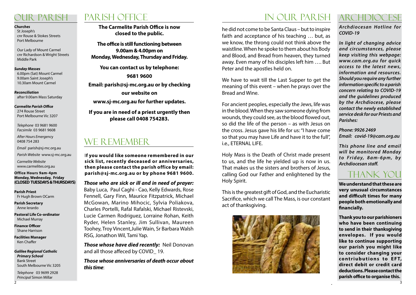#### *Churches*

St Joseph's cnr Rouse & Stokes Streets Port Melbourne

Our Lady of Mount Carmel cnr Richardson & Wright Streets Middle Park

#### *Sunday Masses*

6.00pm (Sat) Mount Carmel 9.00am Saint Joseph's 10.30am Mount Carmel

*Reconciliation* after 9.00am Mass Saturday

#### *Carmelite Parish Office*

274 Rouse Street Port Melbourne Vic 3207

*Telephone* 03 9681 9600 *Facsimile* 03 9681 9608

*After Hours Emergenc*y 0408 754 283

*Email* parish@sj-mc.org.au

*Parish Website* www.sj-mc.org.au

*Carmelite Website* www.carmelites.org.au

#### **Office Hours 9am-4pm Monday, Wednesday, Friday (CLOSED TUESDAYS & THURSDAYS)**

**Parish Priest** Fr Hugh Brown OCarm

**Parish Secretary** Anne Ierardo

**Pastoral Life Co-ordinator** Michael Murray

**Finance Officer** Shane Harrison

**Facilities Manager** Ken Chaffer

*Galilee Regional Catholic Primary School* Bank Street South Melbourne Vic 3205

*Telephone* 03 9699 2928 *Principal* Simon Millar

# our parish Parish Office

**The Carmelite Parish Office is now closed to the public.**

**The office is still functioning between 9.00am & 4.00pm on Monday, Wednesday, Thursday and Friday.** 

**You can contact us by telephone:** 

**9681 9600 Email: parish@sj-mc.org.au or by checking our website on** 

**www.sj-mc.org.au for further updates.**

**If you are in need of a priest urgently then please call 0408 754283.**

### WE R EMEMBER

I**f you would like someone remembered in our sick list, recently deceased or anniversaries, then please contact the parish office by email: parish@sj-mc.org.au or by phone 9681 9600.**

*Those who are sick or ill and in need of prayer:*  Baby Luca, Paul Caghi - Cao, Kelly Edwards, Rose Fennell, Gary Finn, Maurice Fitzpatrick, Michael McGowan, Marino Mihocic, Sylvia Poliakova, Charles Portelli, Rafal Rafalski, Michael Ristevski, Lucie Carmen Rodriguez, Lorraine Rohan, Keith Ryder, Helen Stanley, Jim Sullivan, Maureen Toohey, Troy Vincent,Julie Wain, Sr Barbara Walsh RSG, Jonathon Wil, Tami Yap.

*Those whose have died recently:* Neil Donovan and all those affeced by COVID 19.

*Those whose anniversaries of death occur about this time*:

### in our parish

he did not come to be Santa Claus – but to inspire faith and acceptance of his teaching … but, as we know, the throng could not think above the waistline. When he spoke to them about his Body and Blood, and Bread from heaven, they turned away. Even many of his disciples left him …. But Peter and the apostles held on.

We have to wait till the Last Supper to get the meaning of this event – when he prays over the Bread and Wine.

For ancient peoples, especially the Jews, life was in the blood. When they saw someone dying from wounds, they could see, as the blood flowed out, so did the life of the person – as with Jesus on the cross. Jesus gave his life for us: "I have come so that you may have Life and have it to the full", i.e., ETERNAL LIFE.

Holy Mass is the Death of Christ made present to us, and the life he yielded up is now in us. That makes us the sisters and brothers of Jesus, calling God our Father and enlightened by the Holy Spirit.

This is the greatest gift of God, and the Eucharistic Sacrifice, which we call The Mass, is our constant act of thanksgiving.



ARCHDIOC *Archdiocesan Hotline for* 

*COVID-19*

*In light of changing advice and circumstances, please keep visiting this webpage: www.cam.org.au for quick access to the latest news, information and resources. Should you require any further information specific to a parish concern relating to COVID-19 and the guidelines produced by the Archdiocese, please contact the newly established service desk for our Priests and Parishes:*

*Phone: 9926 2469 Email: covid-19@cam.org.au*

*This phone line and email will be monitored Monday t o Fr i d a y, 8 a m - 6 p m , b y Archdiocesan staff.* 

# thank you

**We understand that these are very unusual circumstances and difficult times for many people both emotionally and financially.**

**Thank you to our parishioners who have been continuing to send in their thanksgiving envelopes. If you would like to continue supporting our parish you might like to consider changing your**  contriubutions to **EFT**, **direct debit or credit card deductions. Please contact the parish office to organise this.**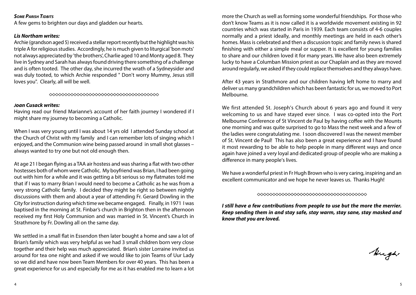#### **SOME PARISH TIDBITS**

A few gems to brighten our days and gladden our hearts.

#### *Lis Northam writes:*

Archie (grandson aged 5) received a stellar report recently but the highlight was his triple A for religious studies. Accordingly, he is much given to liturgical 'bon mots' not always appreciated by 'the brothers', Charlie aged 10 and Monty aged 8. They live in Sydney and Sarah has always found driving there something of a challenge and is often tooted. The other day, she incurred the wrath of a Sydneysider and was duly tooted, to which Archie responded " Don't worry Mummy, Jesus still loves you". Clearly, all will be well.

◇◇◇◇◇◇◇◇◇◇◇◇◇◇◇◇◇◇◇◇◇◇◇◇◇◇◇◇◇◇◇◇◇◇◇◇◇◇

#### *Joan Cusack writes:*

Having read our friend Marianne's account of her faith journey I wondered if I might share my journey to becoming a Catholic.

When I was very young until I was about 14 yrs old I attended Sunday school at the Church of Christ with my family and I can remember lots of singing which I enjoyed, and the Communion wine being passed around in small shot glasses – always wanted to try one but not old enough then.

At age 21 I began flying as a TAA air hostess and was sharing a flat with two other hostesses both of whom were Catholic. My boyfriend was Brian, I had been going out with him for a while and it was getting a bit serious so my flatmates told me that if I was to marry Brian I would need to become a Catholic as he was from a very strong Catholic family. I decided they might be right so between nightly discussions with them and about a year of attending Fr. Gerard Dowling in the City for instruction during which time we became engaged. Finally, in 1971 I was baptised in the morning at St. Finbar's church in Brighton then in the afternoon received my first Holy Communion and was married in St. Vincent's Church in Strathmore by Fr. Dowling all on the same day.

We settled in a small flat in Essendon then later bought a home and saw a lot of Brian's family which was very helpful as we had 3 small children born very close together and their help was much appreciated. Brian's sister Lorraine invited us around for tea one night and asked if we would like to join Teams of Uur Lady so we did and have now been Team Members for over 40 years. This has been a great experience for us and especially for me as it has enabled me to learn a lot

more the Church as well as forming some wonderful friendships. For those who don't know Teams as it is now called it is a worldwide movement existing in 92 countries which was started in Paris in 1939. Each team consists of 4-6 couples normally and a priest ideally, and monthly meetings are held in each other's homes. Mass is celebrated and then a discussion topic and family news is shared finishing with either a simple meal or supper. It is excellent for young families to share and our children loved it for many years. We have also been extremely lucky to have a Columban Mission priest as our Chaplain and as they are moved around regularly, we asked if they could replace themselves and they always have.

After 43 years in Strathmore and our children having left home to marry and deliver us many grandchildren which has been fantastic for us, we moved to Port Melbourne.

We first attended St. Joseph's Church about 6 years ago and found it very welcoming to us and have stayed ever since. I was co-opted into the Port Melbourne Conference of St Vincent de Paul by having coffee with the Mounts one morning and was quite surprised to go to Mass the next week and a few of the ladies were congratulating me. I soon discovered I was the newest member of St. Vincent de Paul! This has also been a great experience and I have found it most rewarding to be able to help people in many different ways and once again have joined a very loyal and dedicated group of people who are making a difference in many people's lives.

We have a wonderful priest in Fr Hugh Brown who is very caring, inspiring and an excellent communicator and we hope he never leaves us. Thanks Hugh!

◇◇◇◇◇◇◇◇◇◇◇◇◇◇◇◇◇◇◇◇◇◇◇◇◇◇◇◇◇◇◇◇◇◇◇◇◇

*I still have a few contributions from people to use but the more the merrier. Keep sending them in and stay safe, stay warm, stay sane, stay masked and know that you are loved.*

Muga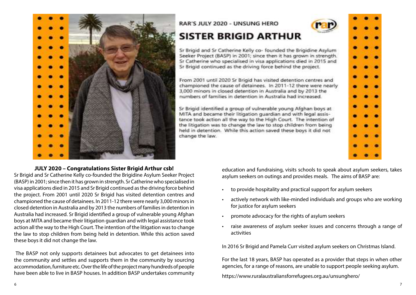

#### **JULY 2020 – Congratulations Sister Brigid Arthur csb!**

Sr Brigid and Sr Catherine Kelly co-founded the Brigidine Asylum Seeker Project (BASP) in 2001; since then it has grown in strength. Sr Catherine who specialised in visa applications died in 2015 and Sr Brigid continued as the driving force behind<br>the project. From 2001 until 2020 Sr Brigid has visited detention centres and<br>championed the cause of detainees In 2011-12 there were nearl the project. From 2001 until 2020 Sr Brigid has visited detention centres and championed the cause of detainees. In 2011-12 there were nearly 3,000 minors in closed detention in Australia and by 2013 the numbers of families in detention in From The State of asylum seekers<br>Australia had increased. Sr Brigid identified a group of vulnerable young Afghan Australia had increased. Sr Brigid identified a group of vulnerable young Afghan Adstraila had increased. In Brigid identified a group of vulflerable young Algrian in the promote advocacy for the rights of asylum seekers boys at MITA and became their litigation guardian and with legal assistance took action all the way to the High Court. The intention of the litigation was to change **vice and a struck and struck**<br>
visit in 2015 and Structure and Sr Brigid of the litigation was to change and setuities and seeker issues the law to stop children from being held in detention. While this action saved **come activities and the set of th**<br>these boys it did not change the law these boys it did not change the law. **JULY 2020 – Congratulations Sister Brigid Arthur csb!**<br>and Sr Catherine Kelly co-founded the Brigidine Asylum Seeker Project<br>2001; since then it has grown in strength. Sr Catherine who specialised in

The BASP not only supports detainees but advocates to get detainees into<br>the numbers of antiboxed and by 2013 the numbers of the numbers of families in the last 18 years BASP has anomided as a provider that ste the community and settles and supports them in the community by sourcing accommodation, furniture etc. Over the life of the project many hundreds of people accommodation, annual exercice over the me of the project many nandreas or people<br>have been able to live in BASP houses. In addition BASP undertakes community https://www.ruralaustraliansforrefugees.org au/unsungbero/

### RAR'S JULY 2020 - UNSUNG HERO

### **SISTER BRIGID ARTHUR**

Sr Brigid and Sr Catherine Kelly co- founded the Brigidine Asylum Seeker Project (BASP) in 2001; since then it has grown in strength. Sr Catherine who specialised in visa applications died in 2015 and Sr Brigid continued as the driving force behind the project.

From 2001 until 2020 Sr Brigid has visited detention centres and championed the cause of detainees. In 2011-12 there were nearly 3,000 minors in closed detention in Australia and by 2013 the numbers of families in detention in Australia had increased.

Sr Brigid identified a group of vulnerable voung Afghan boys at MITA and became their litigation quardian and with legal assistance took action all the way to the High Court. The intention of the litigation was to change the law to stop children from being held in detention. While this action saved these boys it did not change the law.



education and fundraising, visits schools to speak about asylum seekers, takes asylum seekers on outings and provides meals. The aims of BASP are:

- to provide hospitality and practical support for asylum seekers
- actively network with like-minded individuals and groups who are working for justice for asylum seekers
- promote advocacy for the rights of asylum seekers
- raise awareness of asylum seeker issues and concerns through a range of activities

In 2016 Sr Brigid and Pamela Curr visited asylum seekers on Christmas Island.

For the last 18 years, BASP has operated as a provider that steps in when other munity and settles and supports them in the community by sourcing the forme last 18 years, BASP has operated as a provider that steps in when othe<br>odation,furniture etc.Over the life of the project many hundreds of people

https://www.ruralaustraliansforrefugees.org.au/unsunghero/ action all the way to the High Court of the High Court intention of the little state intention was to change the intention was to change the little state in the little state in the little state in the little state in the l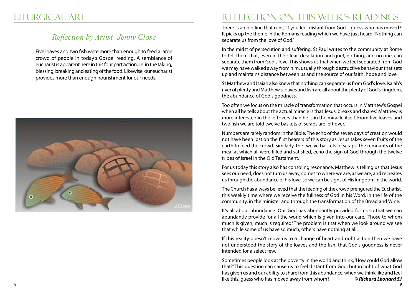# Liturgical Art

### *Reflection by Artist- Jenny Close*

Five loaves and two fish were more than enough to feed a large crowd of people in today's Gospel reading. A semblance of eucharist is apparent here in this four part action, i.e. in the taking, blessing, breaking and eating of the food. Likewise, our eucharist provides more than enough nourishment for our needs.



# Reflection on tHIS wEEK'S readings

There is an old line that runs, 'If you feel distant from God – guess who has moved?' It picks up the theme in the Romans reading which we have just heard, 'Nothing can separate us from the love of God.'

In the midst of persecution and suffering, St Paul writes to the community at Rome to tell them that, even in their fear, desolation and grief, nothing, and no one, can separate them from God's love. This shows us that when we feel separated from God we may have walked away from him, usually through destructive behaviour that sets up and maintains distance between us and the source of our faith, hope and love.

St Matthew and Isaiah also knew that nothing can separate us from God's love. Isaiah's river of plenty and Matthew's loaves and fish are all about the plenty of God's kingdom, the abundance of God's goodness.

Too often we focus on the miracle of transformation that occurs in Matthew's Gospel when all he tells about the actual miracle is that Jesus 'breaks and shares'. Matthew is more interested in the leftovers than he is in the miracle itself. From five loaves and two fish we are told twelve baskets of scraps are left over.

Numbers are rarely random in the Bible. The echo of the seven days of creation would not have been lost on the first hearers of this story as Jesus takes seven fruits of the earth to feed the crowd. Similarly, the twelve baskets of scraps, the remnants of the meal at which all were filled and satisfied, echo the sign of God through the twelve tribes of Israel in the Old Testament.

For us today this story also has consoling resonance. Matthew is telling us that Jesus sees our need, does not turn us away, comes to where we are, as we are, and recreates us through the abundance of his love, so we can be signs of His kingdom in the world.

The Church has always believed that the feeding of the crowd prefigured the Eucharist, this weekly time where we receive the fullness of God in his Word, in the life of the community, in the minister and through the transformation of the Bread and Wine.

It's all about abundance. Our God has abundantly provided for us so that we can abundantly provide for all the world which is given into our care. 'Those to whom much is given, much is required.' The problem is that when we look around we see that while some of us have so much, others have nothing at all.

If this reality doesn't move us to a change of heart and right action then we have not understood the story of the loaves and the fish, that God's goodness is never intended for a select few.

Sometimes people look at the poverty in the world and think, 'How could God allow that?' This question can cause us to feel distant from God, but in light of what God has given us and our ability to share from this abundance, when we think like and feel like this, guess who has moved away from whom? *© Richard Leonard SJ*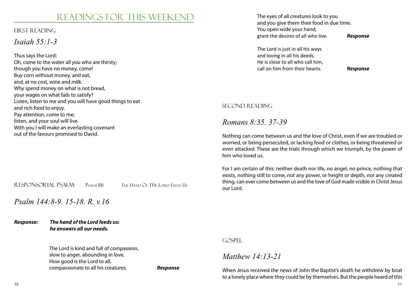### readings for this weekend

#### FIRST READING

### *Isaiah 55:1-3*

Thus says the Lord: Oh, come to the water all you who are thirsty; though you have no money, come! Buy corn without money, and eat, and, at no cost, wine and milk. Why spend money on what is not bread, your wages on what fails to satisfy? Listen, listen to me and you will have good things to eat and rich food to enjoy. Pay attention, come to me; listen, and your soul will live. With you I will make an everlasting covenant out of the favours promised to David.

The eyes of all creatures look to you and you give them their food in due time. You open wide your hand, grant the desires of all who live. *Response*

The Lord is just in all his ways and loving in all his deeds. He is close to all who call him, call on him from their hearts. *Response*

#### Second Reading

### *Romans 8:35. 37-39*

Nothing can come between us and the love of Christ, even if we are troubled or worried, or being persecuted, or lacking food or clothes, or being threatened or even attacked. These are the trials through which we triumph, by the power of him who loved us.

For I am certain of this: neither death nor life, no angel, no prince, nothing that exists, nothing still to come, not any power, or height or depth, nor any created thing, can ever come between us and the love of God made visible in Christ Jesus our Lord.

RESPONSORIAL PSALM: PSALM 118: THE HAND OF THE LORD FEEDS US

*Psalm 144:8-9. 15-18. R. v.16*

*Response: The hand of the Lord feeds us: he answers all our needs.*

> The Lord is kind and full of compassion, slow to anger, abounding in love. How good is the Lord to all, compassionate to all his creatures. *Response*

gospel

### *Matthew 14:13-21*

When Jesus received the news of John the Baptist's death he withdrew by boat to a lonely place where they could be by themselves. But the people heard of this